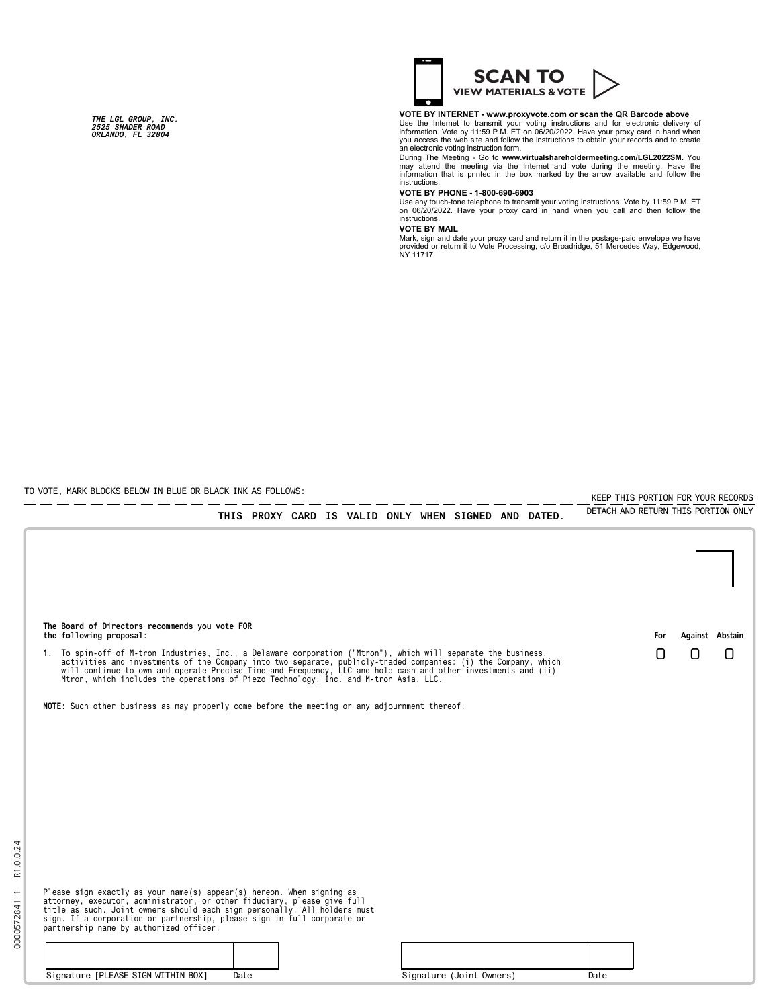*THE LGL GROUP, INC. 2525 SHADER ROAD ORLANDO, FL 32804*



## **VOTE BY INTERNET - www.proxyvote.com or scan the QR Barcode above**

Use the Internet to transmit your voting instructions and for electronic delivery of<br>information. Vote by 11:59 P.M. ET on 06/20/2022. Have your proxy card in hand when<br>you access the web site and follow the instructions t

During The Meeting - Go to **www.virtualshareholdermeeting.com/LGL2022SM.** You<br>may attend the meeting via the Internet and vote during the meeting. Have the<br>information that is printed in the box marked by the arrow availab instructions.<br>VOTE BY PHONE - 1-800-690-6903

**VOTE BY PHONE - 1-800-690-6903**<br>Use any touch-tone telephone to transmit your voting instructions. Vote by 11:59 P.M. ET<br>on 06/20/2022. Have your proxy card in hand when you call and then follow the<br>instructions.

## **VOTE BY MAIL**

Mark, sign and date your proxy card and return it in the postage-paid envelope we have<br>provided or return it to Vote Processing, c/o Broadridge, 51 Mercedes Way, Edgewood,<br>NY 11717.

----

KEEP THIS PORTION FOR YOUR RECORDS

TO VOTE, MARK BLOCKS BELOW IN BLUE OR BLACK INK AS FOLLOWS:

0000572841\_1 R1.0.0.24

0000572841\_1

R1.0.0.24

|                                                                                                                                                                                                                                                                                                                                                        |      |  |  |  |                          | THIS PROXY CARD IS VALID ONLY WHEN SIGNED AND DATED. | DETACH AND RETURN THIS PORTION ONLY |     |   |                 |
|--------------------------------------------------------------------------------------------------------------------------------------------------------------------------------------------------------------------------------------------------------------------------------------------------------------------------------------------------------|------|--|--|--|--------------------------|------------------------------------------------------|-------------------------------------|-----|---|-----------------|
|                                                                                                                                                                                                                                                                                                                                                        |      |  |  |  |                          |                                                      |                                     |     |   |                 |
| The Board of Directors recommends you vote FOR<br>the following proposal:                                                                                                                                                                                                                                                                              |      |  |  |  |                          |                                                      |                                     | For |   | Against Abstain |
| 1. To spin-off of M-tron Industries, Inc., a Delaware corporation ("Mtron"), which will separate the business,<br>activities and investments of the Company into two separate, publicly-traded companies: (i) the Company, which<br>will continue to own and operate Precise Time and Frequency, LLC and hold cash and other investments and (ii)<br>M |      |  |  |  |                          |                                                      |                                     | l I | Π | Π               |
| NOTE: Such other business as may properly come before the meeting or any adjournment thereof.                                                                                                                                                                                                                                                          |      |  |  |  |                          |                                                      |                                     |     |   |                 |
|                                                                                                                                                                                                                                                                                                                                                        |      |  |  |  |                          |                                                      |                                     |     |   |                 |
|                                                                                                                                                                                                                                                                                                                                                        |      |  |  |  |                          |                                                      |                                     |     |   |                 |
|                                                                                                                                                                                                                                                                                                                                                        |      |  |  |  |                          |                                                      |                                     |     |   |                 |
|                                                                                                                                                                                                                                                                                                                                                        |      |  |  |  |                          |                                                      |                                     |     |   |                 |
| Please sign exactly as your name(s) appear(s) hereon. When signing as<br>attorney, executor, administrator, or other fiduciary, please give full<br>title as such. Joint owners should each sign personally. All holders must<br>sign. If a corporation or partnership, please sign in full corporate or<br>partnership name by authorized officer.    |      |  |  |  |                          |                                                      |                                     |     |   |                 |
|                                                                                                                                                                                                                                                                                                                                                        |      |  |  |  |                          |                                                      |                                     |     |   |                 |
| Signature [PLEASE SIGN WITHIN BOX]                                                                                                                                                                                                                                                                                                                     | Date |  |  |  | Signature (Joint Owners) |                                                      | Date                                |     |   |                 |